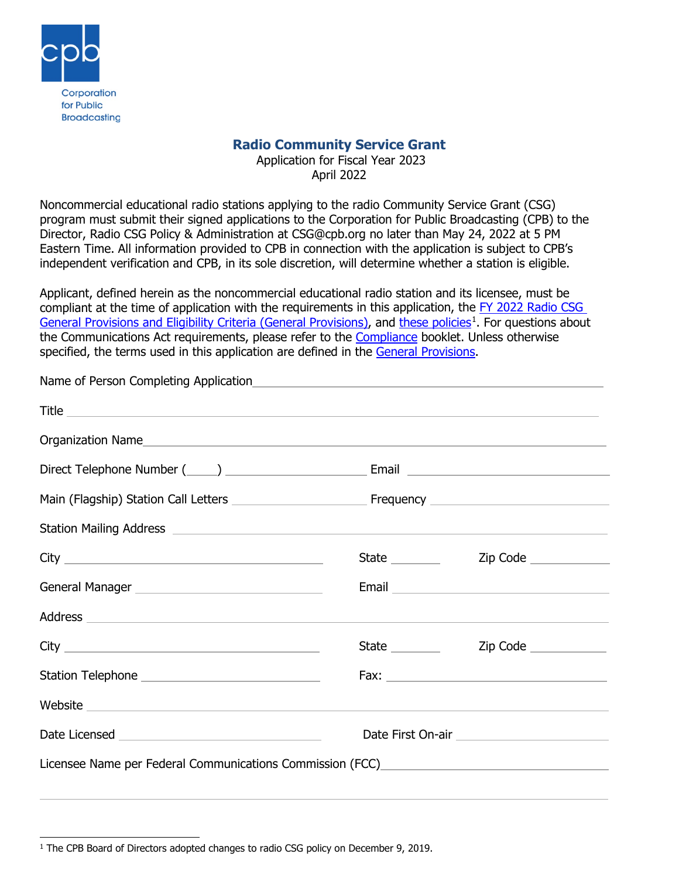

 $\overline{a}$ 

# **Radio Community Service Grant**

Application for Fiscal Year 2023 April 2022

Noncommercial educational radio stations applying to the radio Community Service Grant (CSG) program must submit their signed applications to the Corporation for Public Broadcasting (CPB) to the Director, Radio CSG Policy & Administration at CSG@cpb.org no later than May 24, 2022 at 5 PM Eastern Time. All information provided to CPB in connection with the application is subject to CPB's independent verification and CPB, in its sole discretion, will determine whether a station is eligible.

Applicant, defined herein as the noncommercial educational radio station and its licensee, must be compliant at the time of application with the requirements in this application, the FY 2022 Radio CSG [General Provisions and Eligibility Criteria \(General Provisions\),](https://www.cpb.org/stations/grants/radio/generalprovisions/) and [these policies](https://www.cpb.org/sites/default/files/2019%20Radio%20CSG%20Policy%20Recommendations.pdf)<sup>[1](#page-0-0)</sup>. For questions about the Communications Act requirements, please refer to the [Compliance](https://cpb.org/stations/certification/) booklet. Unless otherwise specified, the terms used in this application are defined in the [General Provisions.](https://www.cpb.org/stations/grants/radio/generalprovisions/)

| Station Mailing Address <b>Station Mailing Address Station</b> Mailing Address <b>Station Mailing Address</b> |                                              |
|---------------------------------------------------------------------------------------------------------------|----------------------------------------------|
| State ________                                                                                                | Zip Code _______________                     |
|                                                                                                               | Email <u>Communication and Communication</u> |
|                                                                                                               |                                              |
|                                                                                                               | Zip Code                                     |
| Station Telephone _______________________________                                                             |                                              |
| Website                                                                                                       |                                              |
|                                                                                                               |                                              |
|                                                                                                               | Title                                        |

<span id="page-0-0"></span><sup>&</sup>lt;sup>1</sup> The CPB Board of Directors adopted changes to radio CSG policy on December 9, 2019.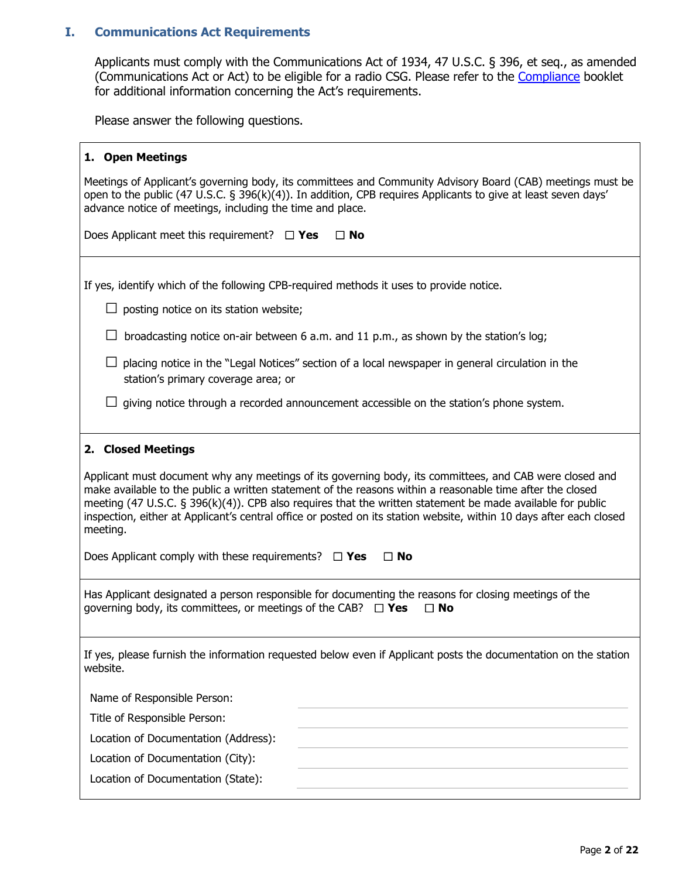### **I. Communications Act Requirements**

Applicants must comply with the Communications Act of 1934, 47 U.S.C. § 396, et seq., as amended (Communications Act or Act) to be eligible for a radio CSG. Please refer to the [Compliance](https://cpb.org/stations/certification/) booklet for additional information concerning the Act's requirements.

Please answer the following questions.

#### **1. Open Meetings**

Meetings of Applicant's governing body, its committees and Community Advisory Board (CAB) meetings must be open to the public (47 U.S.C. § 396(k)(4)). In addition, CPB requires Applicants to give at least seven days' advance notice of meetings, including the time and place.

Does Applicant meet this requirement? ☐ **Yes** ☐ **No**

If yes, identify which of the following CPB-required methods it uses to provide notice.

 $\Box$  posting notice on its station website;

 $\Box$  broadcasting notice on-air between 6 a.m. and 11 p.m., as shown by the station's log;

- $\square$  placing notice in the "Legal Notices" section of a local newspaper in general circulation in the station's primary coverage area; or
- $\Box$  giving notice through a recorded announcement accessible on the station's phone system.

#### **2. Closed Meetings**

Applicant must document why any meetings of its governing body, its committees, and CAB were closed and make available to the public a written statement of the reasons within a reasonable time after the closed meeting (47 U.S.C. § 396(k)(4)). CPB also requires that the written statement be made available for public inspection, either at Applicant's central office or posted on its station website, within 10 days after each closed meeting.

Does Applicant comply with these requirements? ☐ **Yes** ☐ **No**

Has Applicant designated a person responsible for documenting the reasons for closing meetings of the governing body, its committees, or meetings of the CAB? ☐ **Yes** ☐ **No**

If yes, please furnish the information requested below even if Applicant posts the documentation on the station website.

Name of Responsible Person:

Title of Responsible Person:

Location of Documentation (Address):

Location of Documentation (City):

Location of Documentation (State):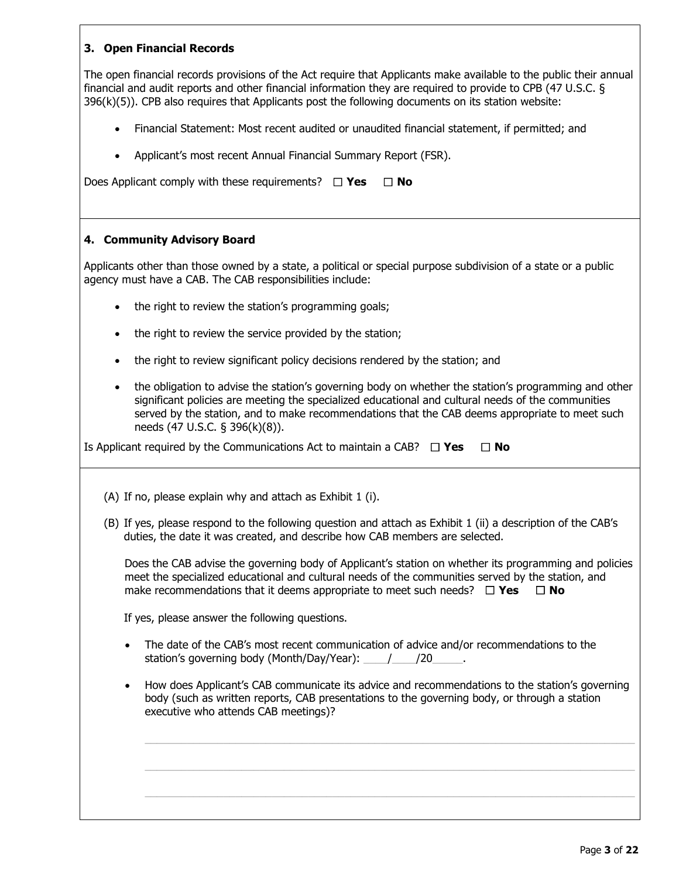## **3. Open Financial Records**

The open financial records provisions of the Act require that Applicants make available to the public their annual financial and audit reports and other financial information they are required to provide to CPB (47 U.S.C. § 396(k)(5)). CPB also requires that Applicants post the following documents on its station website:

- Financial Statement: Most recent audited or unaudited financial statement, if permitted; and
- Applicant's most recent Annual Financial Summary Report (FSR).

Does Applicant comply with these requirements? ☐ **Yes** ☐ **No**

#### **4. Community Advisory Board**

Applicants other than those owned by a state, a political or special purpose subdivision of a state or a public agency must have a CAB. The CAB responsibilities include:

- the right to review the station's programming goals;
- the right to review the service provided by the station;
- the right to review significant policy decisions rendered by the station; and
- the obligation to advise the station's governing body on whether the station's programming and other significant policies are meeting the specialized educational and cultural needs of the communities served by the station, and to make recommendations that the CAB deems appropriate to meet such needs (47 U.S.C. § 396(k)(8)).

Is Applicant required by the Communications Act to maintain a CAB? ☐ **Yes** ☐ **No**

(A) If no, please explain why and attach as Exhibit 1 (i).

(B) If yes, please respond to the following question and attach as Exhibit 1 (ii) a description of the CAB's duties, the date it was created, and describe how CAB members are selected.

Does the CAB advise the governing body of Applicant's station on whether its programming and policies meet the specialized educational and cultural needs of the communities served by the station, and make recommendations that it deems appropriate to meet such needs? ☐ **Yes** ☐ **No**

If yes, please answer the following questions.

- The date of the CAB's most recent communication of advice and/or recommendations to the station's governing body (Month/Day/Year):  $\frac{1}{20}$
- How does Applicant's CAB communicate its advice and recommendations to the station's governing body (such as written reports, CAB presentations to the governing body, or through a station executive who attends CAB meetings)?

 $\_$  , and the set of the set of the set of the set of the set of the set of the set of the set of the set of the set of the set of the set of the set of the set of the set of the set of the set of the set of the set of th

 $\_$  , and the set of the set of the set of the set of the set of the set of the set of the set of the set of the set of the set of the set of the set of the set of the set of the set of the set of the set of the set of th

 $\_$  , and the set of the set of the set of the set of the set of the set of the set of the set of the set of the set of the set of the set of the set of the set of the set of the set of the set of the set of the set of th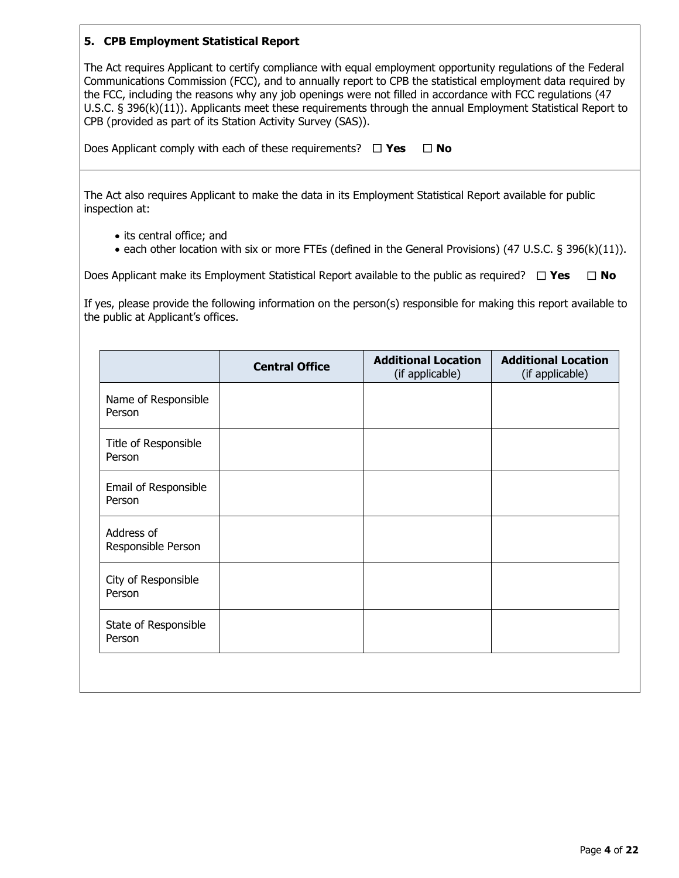#### **5. CPB Employment Statistical Report**

The Act requires Applicant to certify compliance with equal employment opportunity regulations of the Federal Communications Commission (FCC), and to annually report to CPB the statistical employment data required by the FCC, including the reasons why any job openings were not filled in accordance with FCC regulations (47 U.S.C. § 396(k)(11)). Applicants meet these requirements through the annual Employment Statistical Report to CPB (provided as part of its Station Activity Survey (SAS)).

Does Applicant comply with each of these requirements? ☐ **Yes** ☐ **No**

The Act also requires Applicant to make the data in its Employment Statistical Report available for public inspection at:

- its central office; and
- each other location with six or more FTEs (defined in the General Provisions) (47 U.S.C. § 396(k)(11)).

Does Applicant make its Employment Statistical Report available to the public as required? ☐ **Yes** ☐ **No**

If yes, please provide the following information on the person(s) responsible for making this report available to the public at Applicant's offices.

|                                  | <b>Central Office</b> | <b>Additional Location</b><br>(if applicable) | <b>Additional Location</b><br>(if applicable) |
|----------------------------------|-----------------------|-----------------------------------------------|-----------------------------------------------|
| Name of Responsible<br>Person    |                       |                                               |                                               |
| Title of Responsible<br>Person   |                       |                                               |                                               |
| Email of Responsible<br>Person   |                       |                                               |                                               |
| Address of<br>Responsible Person |                       |                                               |                                               |
| City of Responsible<br>Person    |                       |                                               |                                               |
| State of Responsible<br>Person   |                       |                                               |                                               |
|                                  |                       |                                               |                                               |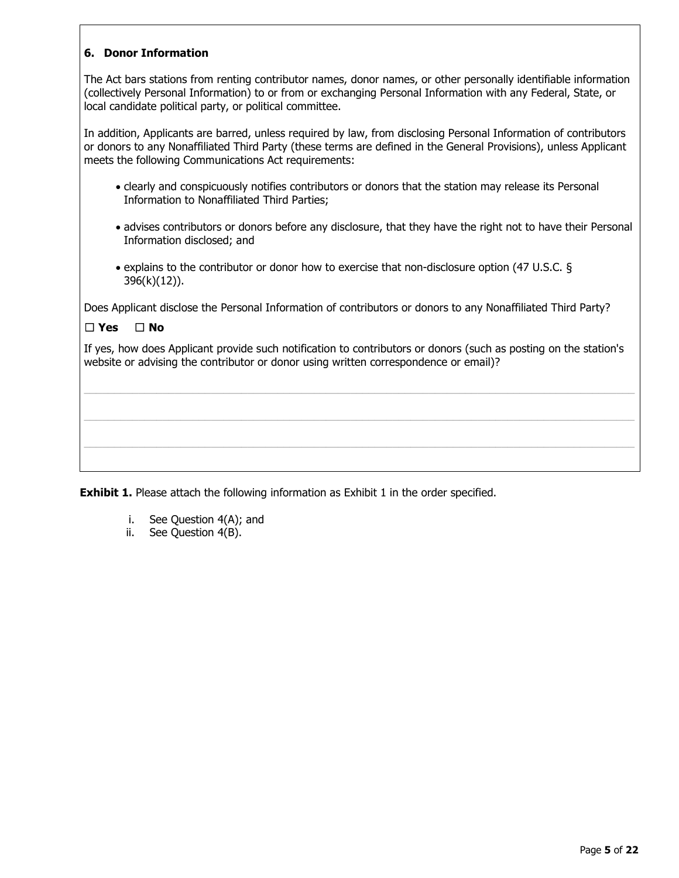## **6. Donor Information**

The Act bars stations from renting contributor names, donor names, or other personally identifiable information (collectively Personal Information) to or from or exchanging Personal Information with any Federal, State, or local candidate political party, or political committee.

In addition, Applicants are barred, unless required by law, from disclosing Personal Information of contributors or donors to any Nonaffiliated Third Party (these terms are defined in the General Provisions), unless Applicant meets the following Communications Act requirements:

- clearly and conspicuously notifies contributors or donors that the station may release its Personal Information to Nonaffiliated Third Parties;
- advises contributors or donors before any disclosure, that they have the right not to have their Personal Information disclosed; and
- explains to the contributor or donor how to exercise that non-disclosure option (47 U.S.C. § 396(k)(12)).

Does Applicant disclose the Personal Information of contributors or donors to any Nonaffiliated Third Party?

### ☐ **Yes** ☐ **No**

If yes, how does Applicant provide such notification to contributors or donors (such as posting on the station's website or advising the contributor or donor using written correspondence or email)?

 $\_$  ,  $\_$  ,  $\_$  ,  $\_$  ,  $\_$  ,  $\_$  ,  $\_$  ,  $\_$  ,  $\_$  ,  $\_$  ,  $\_$  ,  $\_$  ,  $\_$  ,  $\_$  ,  $\_$  ,  $\_$  ,  $\_$  ,  $\_$  ,  $\_$  ,  $\_$  ,  $\_$  ,  $\_$  ,  $\_$  ,  $\_$  ,  $\_$  ,  $\_$  ,  $\_$  ,  $\_$  ,  $\_$  ,  $\_$  ,  $\_$  ,  $\_$  ,  $\_$  ,  $\_$  ,  $\_$  ,  $\_$  ,  $\_$  ,

 $\mathcal{L}_\mathcal{L} = \{ \mathcal{L}_\mathcal{L} = \{ \mathcal{L}_\mathcal{L} = \{ \mathcal{L}_\mathcal{L} = \{ \mathcal{L}_\mathcal{L} = \{ \mathcal{L}_\mathcal{L} = \{ \mathcal{L}_\mathcal{L} = \{ \mathcal{L}_\mathcal{L} = \{ \mathcal{L}_\mathcal{L} = \{ \mathcal{L}_\mathcal{L} = \{ \mathcal{L}_\mathcal{L} = \{ \mathcal{L}_\mathcal{L} = \{ \mathcal{L}_\mathcal{L} = \{ \mathcal{L}_\mathcal{L} = \{ \mathcal{L}_\mathcal{$ 

 $\mathcal{L}_\mathcal{L} = \{ \mathcal{L}_\mathcal{L} = \{ \mathcal{L}_\mathcal{L} = \{ \mathcal{L}_\mathcal{L} = \{ \mathcal{L}_\mathcal{L} = \{ \mathcal{L}_\mathcal{L} = \{ \mathcal{L}_\mathcal{L} = \{ \mathcal{L}_\mathcal{L} = \{ \mathcal{L}_\mathcal{L} = \{ \mathcal{L}_\mathcal{L} = \{ \mathcal{L}_\mathcal{L} = \{ \mathcal{L}_\mathcal{L} = \{ \mathcal{L}_\mathcal{L} = \{ \mathcal{L}_\mathcal{L} = \{ \mathcal{L}_\mathcal{$ 

**Exhibit 1.** Please attach the following information as Exhibit 1 in the order specified.

- i. See Question 4(A); and<br>ii. See Ouestion 4(B).
- See Ouestion 4(B).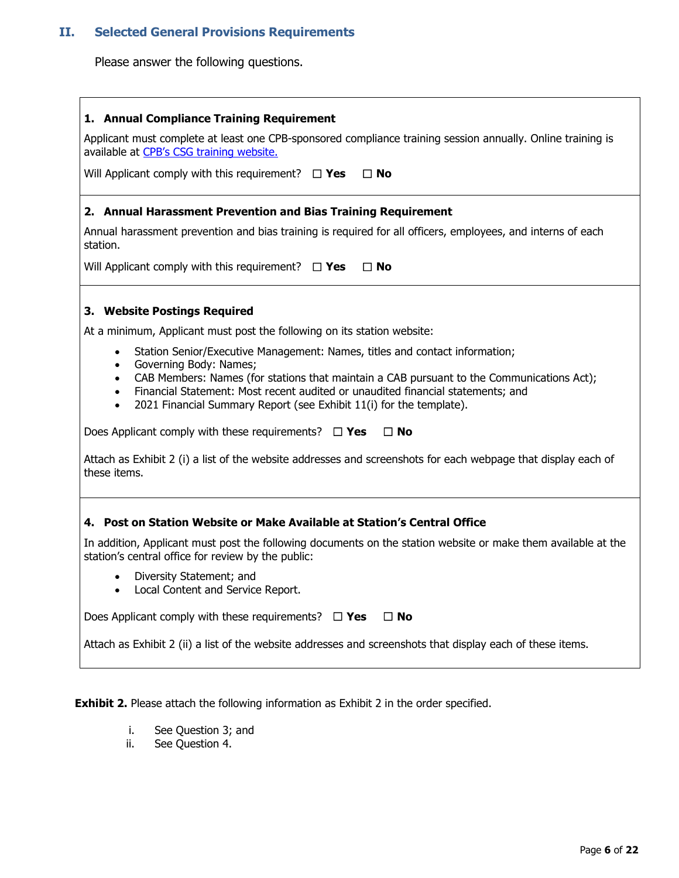## **II. Selected General Provisions Requirements**

Please answer the following questions.

#### **1. Annual Compliance Training Requirement**

Applicant must complete at least one CPB-sponsored compliance training session annually. Online training is available at [CPB's CSG training website.](https://www.cpb.org/station-resource/csg-and-isis-training-opportunities)

Will Applicant comply with this requirement? ☐ **Yes** ☐ **No**

#### **2. Annual Harassment Prevention and Bias Training Requirement**

Annual harassment prevention and bias training is required for all officers, employees, and interns of each station.

Will Applicant comply with this requirement? ☐ **Yes** ☐ **No**

#### **3. Website Postings Required**

At a minimum, Applicant must post the following on its station website:

- Station Senior/Executive Management: Names, titles and contact information;
- Governing Body: Names;
- CAB Members: Names (for stations that maintain a CAB pursuant to the Communications Act);
- Financial Statement: Most recent audited or unaudited financial statements; and
- 2021 Financial Summary Report (see Exhibit 11(i) for the template).

Does Applicant comply with these requirements? ☐ **Yes** ☐ **No**

Attach as Exhibit 2 (i) a list of the website addresses and screenshots for each webpage that display each of these items.

#### **4. Post on Station Website or Make Available at Station's Central Office**

In addition, Applicant must post the following documents on the station website or make them available at the station's central office for review by the public:

- Diversity Statement; and
- Local Content and Service Report.

Does Applicant comply with these requirements? ☐ **Yes** ☐ **No**

Attach as Exhibit 2 (ii) a list of the website addresses and screenshots that display each of these items.

**Exhibit 2.** Please attach the following information as Exhibit 2 in the order specified.

- i. See Question 3; and
- ii. See Question 4.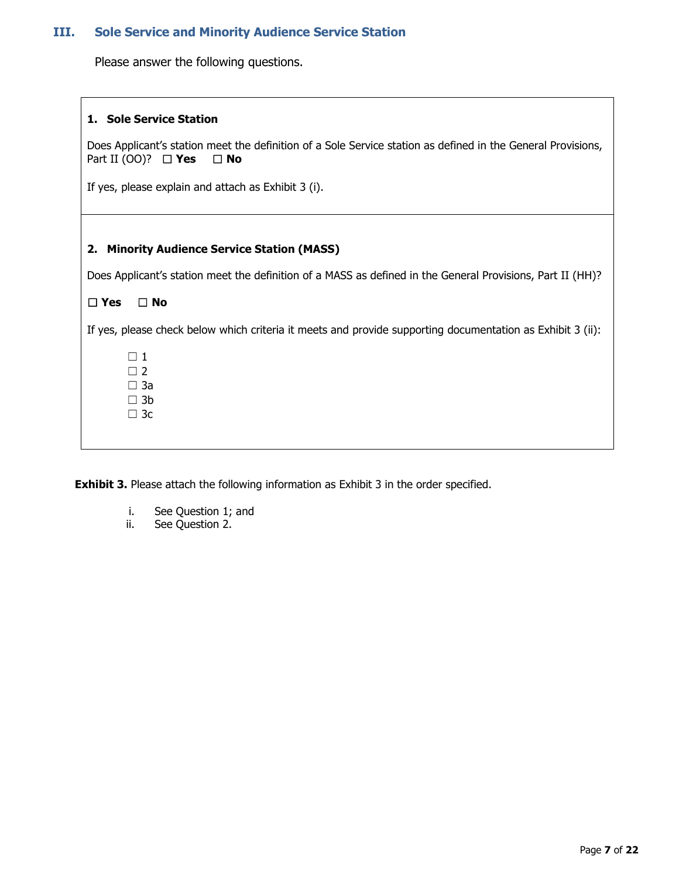# **III. Sole Service and Minority Audience Service Station**

Please answer the following questions.

 $\Gamma$ 

| 1. Sole Service Station                                                                                                                                      |
|--------------------------------------------------------------------------------------------------------------------------------------------------------------|
| Does Applicant's station meet the definition of a Sole Service station as defined in the General Provisions,<br>Part II (00)? $\Box$ <b>Yes</b><br>$\Box$ No |
| If yes, please explain and attach as Exhibit 3 (i).                                                                                                          |
|                                                                                                                                                              |
| 2. Minority Audience Service Station (MASS)                                                                                                                  |
| Does Applicant's station meet the definition of a MASS as defined in the General Provisions, Part II (HH)?                                                   |
| $\Box$ Yes<br>$\Box$ No                                                                                                                                      |
| If yes, please check below which criteria it meets and provide supporting documentation as Exhibit 3 (ii):                                                   |
| $\Box$ 1                                                                                                                                                     |
| $\Box$ 2<br>$\Box$ 3a                                                                                                                                        |
| $\Box$ 3b                                                                                                                                                    |
| $\Box$ 3c                                                                                                                                                    |
|                                                                                                                                                              |

**Exhibit 3.** Please attach the following information as Exhibit 3 in the order specified.

- i. See Question 1; and
- ii. See Question 2.

┑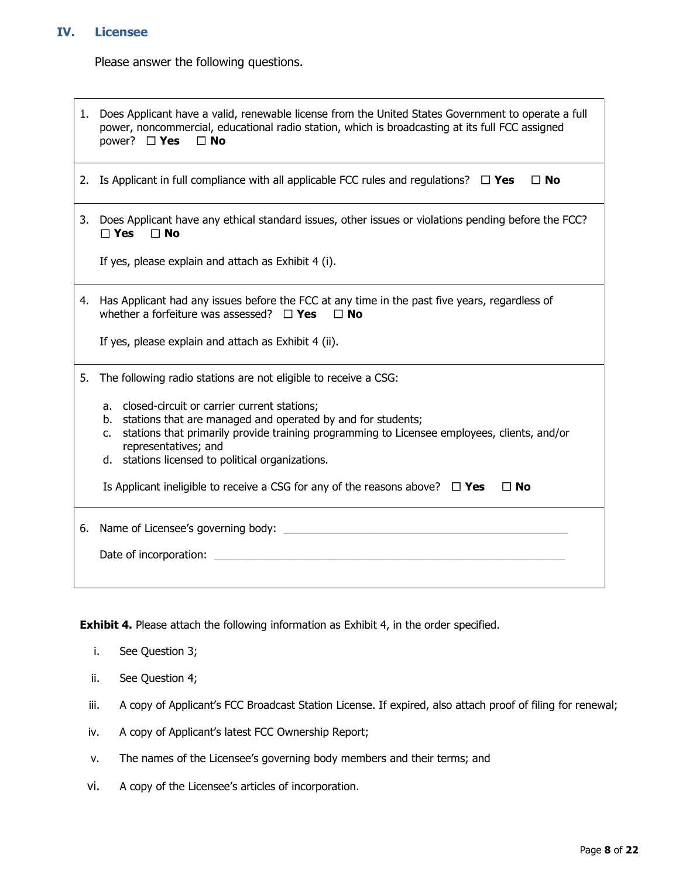## **IV. Licensee**

Please answer the following questions.

| 1. | Does Applicant have a valid, renewable license from the United States Government to operate a full<br>power, noncommercial, educational radio station, which is broadcasting at its full FCC assigned<br>power? $\Box$ Yes<br>$\Box$ No |  |  |  |  |  |
|----|-----------------------------------------------------------------------------------------------------------------------------------------------------------------------------------------------------------------------------------------|--|--|--|--|--|
|    | 2. Is Applicant in full compliance with all applicable FCC rules and regulations? $\square$ Yes<br>$\Box$ No                                                                                                                            |  |  |  |  |  |
|    | 3. Does Applicant have any ethical standard issues, other issues or violations pending before the FCC?<br>$\Box$ Yes<br>$\Box$ No                                                                                                       |  |  |  |  |  |
|    | If yes, please explain and attach as Exhibit 4 (i).                                                                                                                                                                                     |  |  |  |  |  |
| 4. | Has Applicant had any issues before the FCC at any time in the past five years, regardless of<br>whether a forfeiture was assessed? $\Box$ Yes<br>$\Box$ No<br>If yes, please explain and attach as Exhibit 4 (ii).                     |  |  |  |  |  |
|    |                                                                                                                                                                                                                                         |  |  |  |  |  |
| 5. | The following radio stations are not eligible to receive a CSG:                                                                                                                                                                         |  |  |  |  |  |
|    | a. closed-circuit or carrier current stations;                                                                                                                                                                                          |  |  |  |  |  |
|    | b. stations that are managed and operated by and for students;<br>stations that primarily provide training programming to Licensee employees, clients, and/or<br>c.<br>representatives; and                                             |  |  |  |  |  |
|    | d. stations licensed to political organizations.                                                                                                                                                                                        |  |  |  |  |  |
|    | Is Applicant ineligible to receive a CSG for any of the reasons above? $\Box$ Yes<br>$\Box$ No                                                                                                                                          |  |  |  |  |  |
| 6. | Name of Licensee's governing body:                                                                                                                                                                                                      |  |  |  |  |  |
|    | Date of incorporation:                                                                                                                                                                                                                  |  |  |  |  |  |
|    |                                                                                                                                                                                                                                         |  |  |  |  |  |

**Exhibit 4.** Please attach the following information as Exhibit 4, in the order specified.

- i. See Question 3;
- ii. See Question 4;
- iii. A copy of Applicant's FCC Broadcast Station License. If expired, also attach proof of filing for renewal;
- iv. A copy of Applicant's latest FCC Ownership Report;
- v. The names of the Licensee's governing body members and their terms; and
- vi. A copy of the Licensee's articles of incorporation.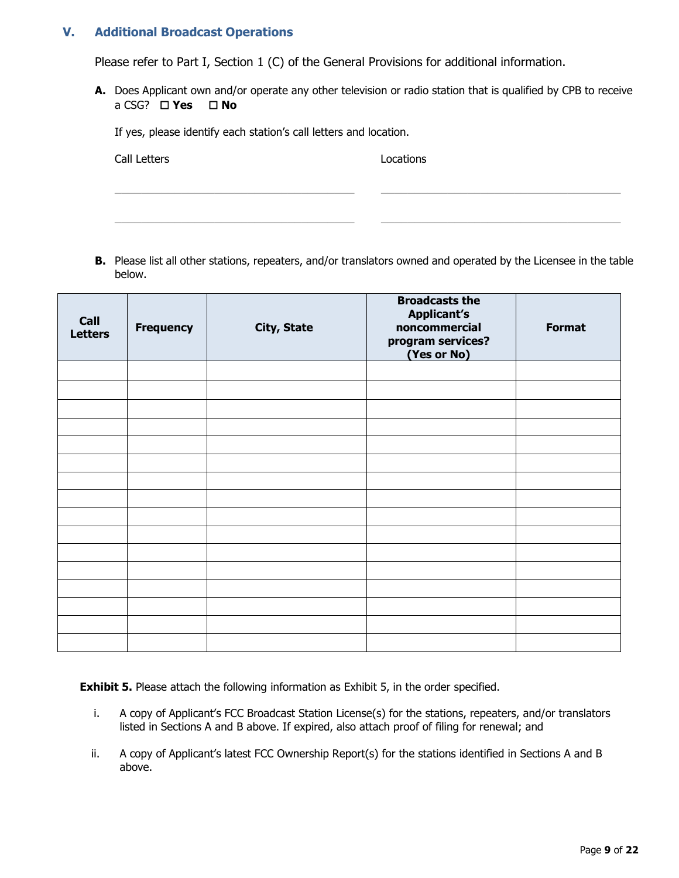### **V. Additional Broadcast Operations**

Please refer to Part I, Section 1 (C) of the General Provisions for additional information.

**A.** Does Applicant own and/or operate any other television or radio station that is qualified by CPB to receive a CSG? ☐ **Yes** ☐ **No** 

If yes, please identify each station's call letters and location.

**Call Letters Locations** 

**B.** Please list all other stations, repeaters, and/or translators owned and operated by the Licensee in the table below.

\_\_\_\_\_\_\_\_\_\_\_\_\_\_\_\_\_\_\_\_\_\_\_\_\_\_\_\_\_\_\_\_\_\_\_\_ \_\_\_\_\_\_\_\_\_\_\_\_\_\_\_\_\_\_\_\_\_\_\_\_\_\_\_\_\_\_\_\_\_\_\_\_

\_\_\_\_\_\_\_\_\_\_\_\_\_\_\_\_\_\_\_\_\_\_\_\_\_\_\_\_\_\_\_\_\_\_\_\_ \_\_\_\_\_\_\_\_\_\_\_\_\_\_\_\_\_\_\_\_\_\_\_\_\_\_\_\_\_\_\_\_\_\_\_\_

| Call<br><b>Letters</b> | <b>Frequency</b> | <b>City, State</b> | <b>Broadcasts the</b><br><b>Applicant's</b><br>noncommercial<br>program services?<br>(Yes or No) | <b>Format</b> |
|------------------------|------------------|--------------------|--------------------------------------------------------------------------------------------------|---------------|
|                        |                  |                    |                                                                                                  |               |
|                        |                  |                    |                                                                                                  |               |
|                        |                  |                    |                                                                                                  |               |
|                        |                  |                    |                                                                                                  |               |
|                        |                  |                    |                                                                                                  |               |
|                        |                  |                    |                                                                                                  |               |
|                        |                  |                    |                                                                                                  |               |
|                        |                  |                    |                                                                                                  |               |
|                        |                  |                    |                                                                                                  |               |
|                        |                  |                    |                                                                                                  |               |
|                        |                  |                    |                                                                                                  |               |
|                        |                  |                    |                                                                                                  |               |
|                        |                  |                    |                                                                                                  |               |
|                        |                  |                    |                                                                                                  |               |
|                        |                  |                    |                                                                                                  |               |
|                        |                  |                    |                                                                                                  |               |

**Exhibit 5.** Please attach the following information as Exhibit 5, in the order specified.

- i. A copy of Applicant's FCC Broadcast Station License(s) for the stations, repeaters, and/or translators listed in Sections A and B above. If expired, also attach proof of filing for renewal; and
- ii. A copy of Applicant's latest FCC Ownership Report(s) for the stations identified in Sections A and B above.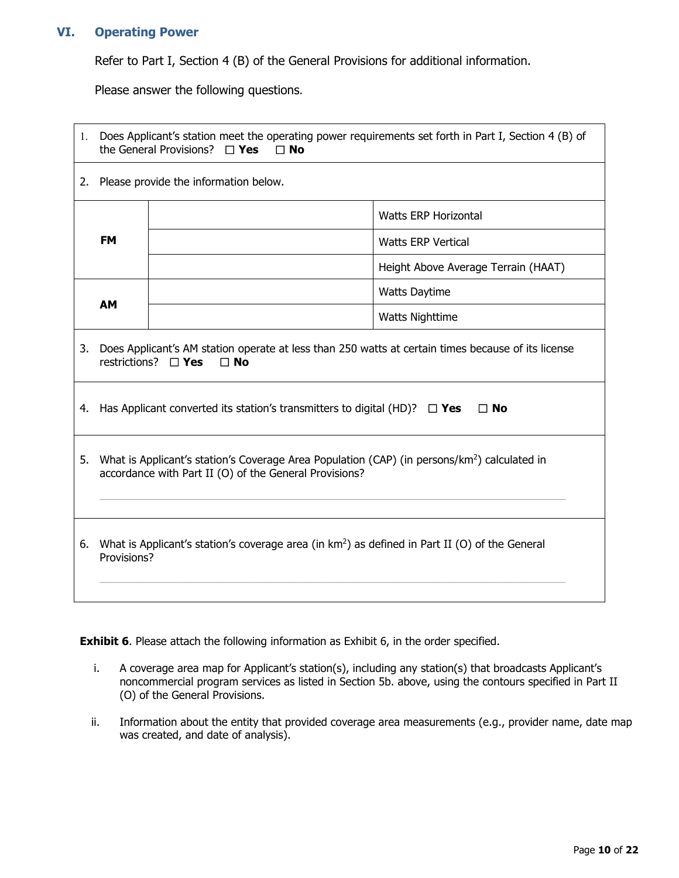### **VI. Operating Power**

Refer to Part I, Section 4 (B) of the General Provisions for additional information.

Please answer the following questions.

| 1.                                  | Does Applicant's station meet the operating power requirements set forth in Part I, Section 4 (B) of<br>the General Provisions? $\Box$ Yes<br>$\Box$ No            |                      |                                     |  |  |  |
|-------------------------------------|--------------------------------------------------------------------------------------------------------------------------------------------------------------------|----------------------|-------------------------------------|--|--|--|
| 2.                                  | Please provide the information below.                                                                                                                              |                      |                                     |  |  |  |
|                                     | <b>Watts ERP Horizontal</b>                                                                                                                                        |                      |                                     |  |  |  |
|                                     | <b>FM</b>                                                                                                                                                          |                      | <b>Watts ERP Vertical</b>           |  |  |  |
|                                     |                                                                                                                                                                    |                      | Height Above Average Terrain (HAAT) |  |  |  |
|                                     |                                                                                                                                                                    | <b>Watts Daytime</b> |                                     |  |  |  |
| <b>AM</b><br><b>Watts Nighttime</b> |                                                                                                                                                                    |                      |                                     |  |  |  |
| 3.                                  | Does Applicant's AM station operate at less than 250 watts at certain times because of its license<br>restrictions? $\Box$ Yes<br>$\square$ No                     |                      |                                     |  |  |  |
|                                     | 4. Has Applicant converted its station's transmitters to digital (HD)? $\Box$ Yes<br>$\Box$ No                                                                     |                      |                                     |  |  |  |
| 5.                                  | What is Applicant's station's Coverage Area Population (CAP) (in persons/km <sup>2</sup> ) calculated in<br>accordance with Part II (O) of the General Provisions? |                      |                                     |  |  |  |
| 6.                                  | What is Applicant's station's coverage area (in km <sup>2</sup> ) as defined in Part II (O) of the General<br>Provisions?                                          |                      |                                     |  |  |  |

**Exhibit 6**. Please attach the following information as Exhibit 6, in the order specified.

- i. A coverage area map for Applicant's station(s), including any station(s) that broadcasts Applicant's noncommercial program services as listed in Section 5b. above, using the contours specified in Part II (O) of the General Provisions.
- ii. Information about the entity that provided coverage area measurements (e.g., provider name, date map was created, and date of analysis).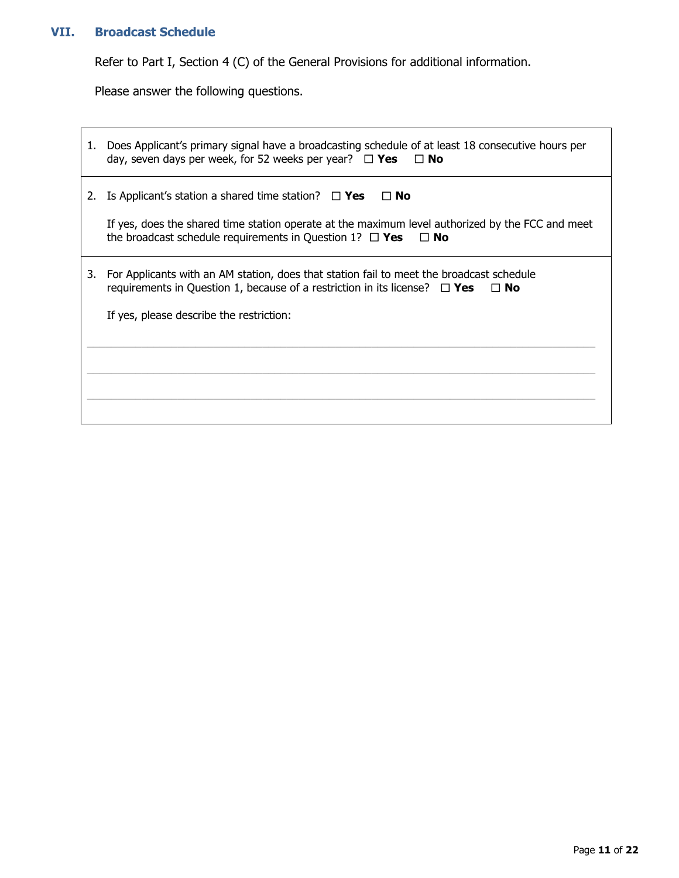## **VII. Broadcast Schedule**

Refer to Part I, Section 4 (C) of the General Provisions for additional information.

Please answer the following questions.

| 1. | Does Applicant's primary signal have a broadcasting schedule of at least 18 consecutive hours per<br>day, seven days per week, for 52 weeks per year? $\Box$ Yes $\Box$ No               |
|----|------------------------------------------------------------------------------------------------------------------------------------------------------------------------------------------|
| 2. | Is Applicant's station a shared time station? $\Box$ Yes<br>$\square$ No                                                                                                                 |
|    | If yes, does the shared time station operate at the maximum level authorized by the FCC and meet<br>the broadcast schedule requirements in Question 1? $\Box$ Yes<br>$\Box$ No           |
| 3. | For Applicants with an AM station, does that station fail to meet the broadcast schedule<br>requirements in Question 1, because of a restriction in its license? $\Box$ Yes<br>$\Box$ No |
|    | If yes, please describe the restriction:                                                                                                                                                 |
|    |                                                                                                                                                                                          |
|    |                                                                                                                                                                                          |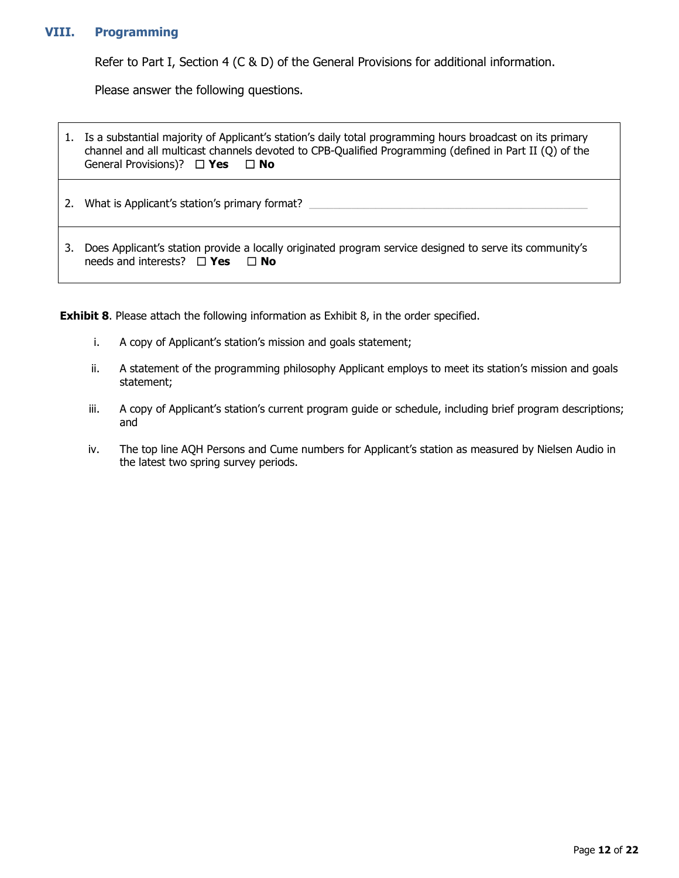### **VIII. Programming**

Refer to Part I, Section 4 (C & D) of the General Provisions for additional information.

Please answer the following questions.

|    | Is a substantial majority of Applicant's station's daily total programming hours broadcast on its primary<br>channel and all multicast channels devoted to CPB-Qualified Programming (defined in Part II (Q) of the<br>General Provisions)? $\Box$ Yes $\Box$ No |
|----|------------------------------------------------------------------------------------------------------------------------------------------------------------------------------------------------------------------------------------------------------------------|
| 2. | What is Applicant's station's primary format?                                                                                                                                                                                                                    |
| 3. | Does Applicant's station provide a locally originated program service designed to serve its community's<br>needs and interests? $\Box$ Yes<br>$\Box$ No                                                                                                          |

**Exhibit 8**. Please attach the following information as Exhibit 8, in the order specified.

- i. A copy of Applicant's station's mission and goals statement;
- ii. A statement of the programming philosophy Applicant employs to meet its station's mission and goals statement;
- iii. A copy of Applicant's station's current program guide or schedule, including brief program descriptions; and
- iv. The top line AQH Persons and Cume numbers for Applicant's station as measured by Nielsen Audio in the latest two spring survey periods.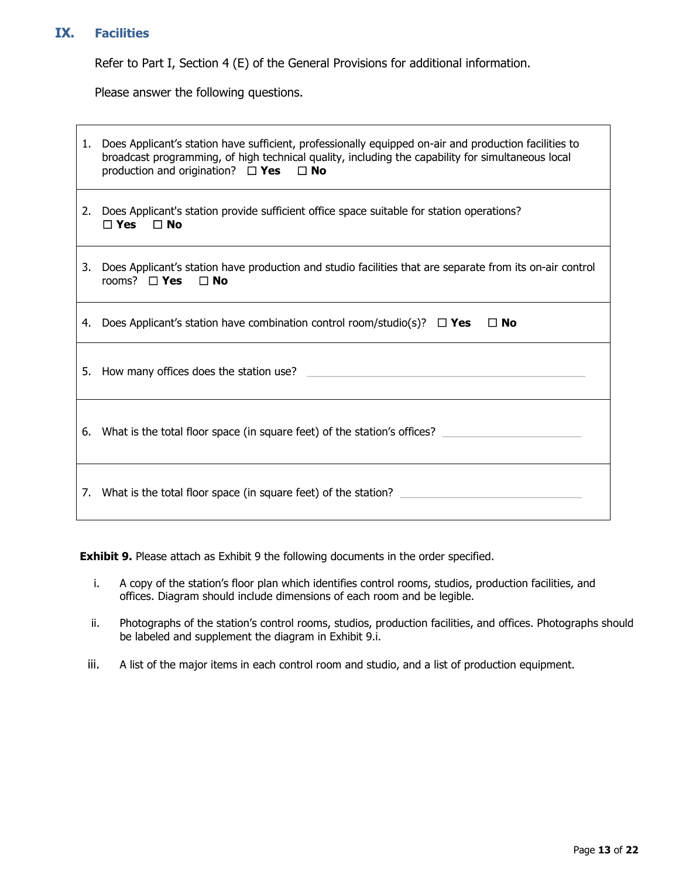### **IX. Facilities**

Refer to Part I, Section 4 (E) of the General Provisions for additional information.

Please answer the following questions.

| 1. | Does Applicant's station have sufficient, professionally equipped on-air and production facilities to<br>broadcast programming, of high technical quality, including the capability for simultaneous local<br>production and origination? $\Box$ Yes $\Box$ No |
|----|----------------------------------------------------------------------------------------------------------------------------------------------------------------------------------------------------------------------------------------------------------------|
|    | 2. Does Applicant's station provide sufficient office space suitable for station operations?<br>$\sqcap$ Yes<br>$\Box$ No                                                                                                                                      |
| 3. | Does Applicant's station have production and studio facilities that are separate from its on-air control<br>rooms? $\Box$ <b>Yes</b><br>$\Box$ No                                                                                                              |
| 4. | Does Applicant's station have combination control room/studio(s)? $\Box$ Yes<br>$\Box$ No                                                                                                                                                                      |
|    | 5. How many offices does the station use?                                                                                                                                                                                                                      |
| 6. | What is the total floor space (in square feet) of the station's offices?                                                                                                                                                                                       |
| 7. | What is the total floor space (in square feet) of the station?                                                                                                                                                                                                 |

**Exhibit 9.** Please attach as Exhibit 9 the following documents in the order specified.

- i. A copy of the station's floor plan which identifies control rooms, studios, production facilities, and offices. Diagram should include dimensions of each room and be legible.
- ii. Photographs of the station's control rooms, studios, production facilities, and offices. Photographs should be labeled and supplement the diagram in Exhibit 9.i.
- iii. A list of the major items in each control room and studio, and a list of production equipment.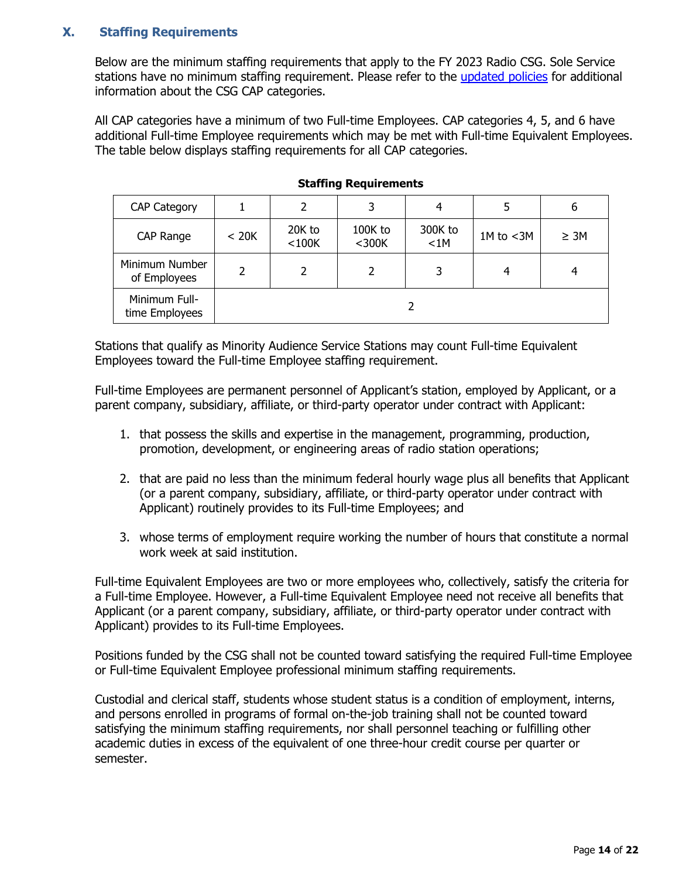## **X. Staffing Requirements**

Below are the minimum staffing requirements that apply to the FY 2023 Radio CSG. Sole Service stations have no minimum staffing requirement. Please refer to the [updated policies](https://www.cpb.org/sites/default/files/2019%20Radio%20CSG%20Policy%20Recommendations.pdf) for additional information about the CSG CAP categories.

All CAP categories have a minimum of two Full-time Employees. CAP categories 4, 5, and 6 have additional Full-time Employee requirements which may be met with Full-time Equivalent Employees. The table below displays staffing requirements for all CAP categories.

| <b>CAP Category</b>             |       | 2                     |                   |                 |              | 6         |  |
|---------------------------------|-------|-----------------------|-------------------|-----------------|--------------|-----------|--|
| CAP Range                       | < 20K | 20K to<br>$<$ 100 $K$ | 100K to<br>$300K$ | 300K to<br>< 1M | 1M to $<$ 3M | $\geq 3M$ |  |
| Minimum Number<br>of Employees  | 2     | 2                     |                   | 3               | 4            |           |  |
| Minimum Full-<br>time Employees |       |                       |                   |                 |              |           |  |

### **Staffing Requirements**

Stations that qualify as Minority Audience Service Stations may count Full-time Equivalent Employees toward the Full-time Employee staffing requirement.

Full-time Employees are permanent personnel of Applicant's station, employed by Applicant, or a parent company, subsidiary, affiliate, or third-party operator under contract with Applicant:

- 1. that possess the skills and expertise in the management, programming, production, promotion, development, or engineering areas of radio station operations;
- 2. that are paid no less than the minimum federal hourly wage plus all benefits that Applicant (or a parent company, subsidiary, affiliate, or third-party operator under contract with Applicant) routinely provides to its Full-time Employees; and
- 3. whose terms of employment require working the number of hours that constitute a normal work week at said institution.

Full-time Equivalent Employees are two or more employees who, collectively, satisfy the criteria for a Full-time Employee. However, a Full-time Equivalent Employee need not receive all benefits that Applicant (or a parent company, subsidiary, affiliate, or third-party operator under contract with Applicant) provides to its Full-time Employees.

Positions funded by the CSG shall not be counted toward satisfying the required Full-time Employee or Full-time Equivalent Employee professional minimum staffing requirements.

Custodial and clerical staff, students whose student status is a condition of employment, interns, and persons enrolled in programs of formal on-the-job training shall not be counted toward satisfying the minimum staffing requirements, nor shall personnel teaching or fulfilling other academic duties in excess of the equivalent of one three-hour credit course per quarter or semester.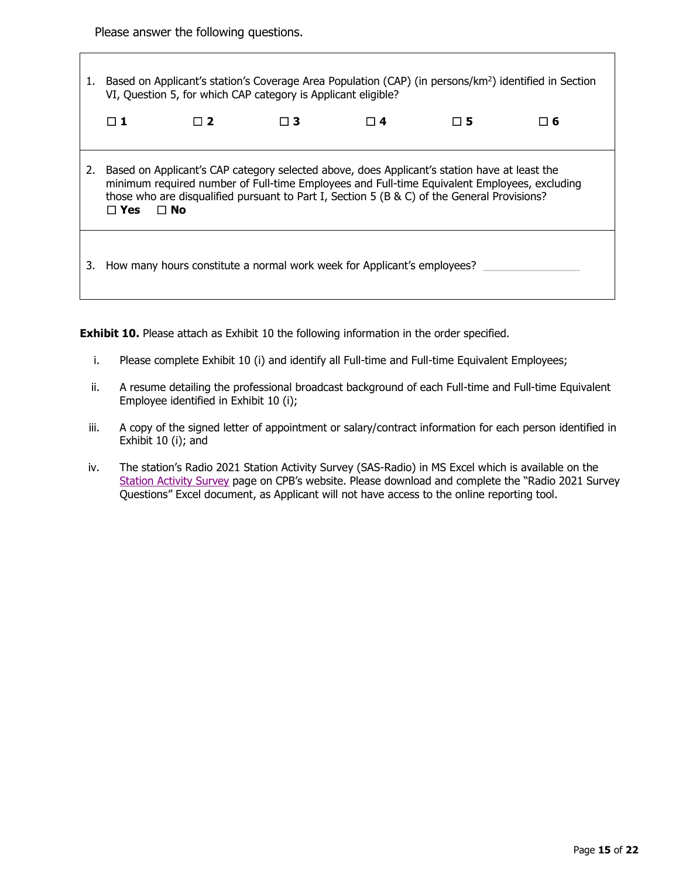Please answer the following questions.

1. Based on Applicant's station's Coverage Area Population (CAP) (in persons/km<sup>2</sup>) identified in Section VI, Question 5, for which CAP category is Applicant eligible? ☐ **1** ☐ **2** ☐ **3** ☐ **4** ☐ **5** ☐ **6** 2. Based on Applicant's CAP category selected above, does Applicant's station have at least the minimum required number of Full-time Employees and Full-time Equivalent Employees, excluding those who are disqualified pursuant to Part I, Section 5 (B & C) of the General Provisions? ☐ **Yes** ☐ **No** 3. How many hours constitute a normal work week for Applicant's employees?

**Exhibit 10.** Please attach as Exhibit 10 the following information in the order specified.

- i. Please complete Exhibit 10 (i) and identify all Full-time and Full-time Equivalent Employees;
- ii. A resume detailing the professional broadcast background of each Full-time and Full-time Equivalent Employee identified in Exhibit 10 (i);
- iii. A copy of the signed letter of appointment or salary/contract information for each person identified in Exhibit 10 (i); and
- iv. The station's Radio 2021 Station Activity Survey (SAS-Radio) in MS Excel which is available on the [Station Activity Survey](https://www.cpb.org/stations/sas/) page on CPB's website. Please download and complete the "Radio 2021 Survey Questions" Excel document, as Applicant will not have access to the online reporting tool.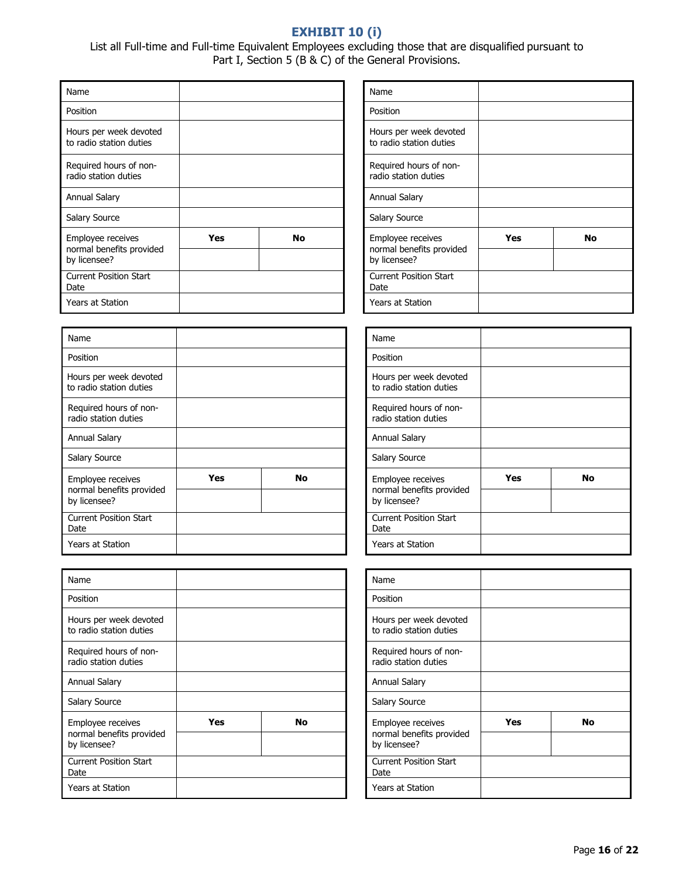# **EXHIBIT 10 (i)**

List all Full-time and Full-time Equivalent Employees excluding those that are disqualified pursuant to Part I, Section 5 (B & C) of the General Provisions.

| Name                                                          |     |    |  | Name                                                     |
|---------------------------------------------------------------|-----|----|--|----------------------------------------------------------|
| Position                                                      |     |    |  | Position                                                 |
| Hours per week devoted<br>to radio station duties             |     |    |  | Hours per week de<br>to radio station dut                |
| Required hours of non-<br>radio station duties                |     |    |  | Required hours of r<br>radio station duties              |
| Annual Salary                                                 |     |    |  | <b>Annual Salary</b>                                     |
| Salary Source                                                 |     |    |  | Salary Source                                            |
| Employee receives<br>normal benefits provided<br>by licensee? | Yes | No |  | Employee receives<br>normal benefits pro<br>by licensee? |
| <b>Current Position Start</b><br>Date                         |     |    |  | <b>Current Position Sta</b><br>Date                      |
| Years at Station                                              |     |    |  | Years at Station                                         |

| Name                                                          |            |           |  | Name                                                     |
|---------------------------------------------------------------|------------|-----------|--|----------------------------------------------------------|
| Position                                                      |            |           |  | Position                                                 |
| Hours per week devoted<br>to radio station duties             |            |           |  | Hours per week de<br>to radio station dut                |
| Required hours of non-<br>radio station duties                |            |           |  | Required hours of r<br>radio station duties              |
| Annual Salary                                                 |            |           |  | Annual Salary                                            |
| Salary Source                                                 |            |           |  | Salary Source                                            |
| Employee receives<br>normal benefits provided<br>by licensee? | <b>Yes</b> | <b>No</b> |  | Employee receives<br>normal benefits pro<br>by licensee? |
| <b>Current Position Start</b><br>Date                         |            |           |  | <b>Current Position Sta</b><br>Date                      |
| Years at Station                                              |            |           |  | Years at Station                                         |

| Name                                                          |                  |  |  | Name                                                     |
|---------------------------------------------------------------|------------------|--|--|----------------------------------------------------------|
| Position                                                      |                  |  |  | Position                                                 |
| Hours per week devoted<br>to radio station duties             |                  |  |  | Hours per week de<br>to radio station dut                |
| Required hours of non-<br>radio station duties                |                  |  |  | Required hours of r<br>radio station duties              |
| <b>Annual Salary</b>                                          |                  |  |  | <b>Annual Salary</b>                                     |
| Salary Source                                                 |                  |  |  | Salary Source                                            |
| Employee receives<br>normal benefits provided<br>by licensee? | <b>Yes</b><br>No |  |  | Employee receives<br>normal benefits pro<br>by licensee? |
| <b>Current Position Start</b><br>Date                         |                  |  |  | <b>Current Position Sta</b><br>Date                      |
| <b>Years at Station</b>                                       |                  |  |  | Years at Station                                         |

| Name                                                          |     |    |
|---------------------------------------------------------------|-----|----|
| Position                                                      |     |    |
| Hours per week devoted<br>to radio station duties             |     |    |
| Required hours of non-<br>radio station duties                |     |    |
| <b>Annual Salary</b>                                          |     |    |
| <b>Salary Source</b>                                          |     |    |
| Employee receives<br>normal benefits provided<br>by licensee? | Yes | No |
|                                                               |     |    |
| <b>Current Position Start</b><br>Date                         |     |    |
| <b>Years at Station</b>                                       |     |    |

| Name                                                          |     |    |
|---------------------------------------------------------------|-----|----|
| Position                                                      |     |    |
| Hours per week devoted<br>to radio station duties             |     |    |
| Required hours of non-<br>radio station duties                |     |    |
| Annual Salary                                                 |     |    |
| Salary Source                                                 |     |    |
| Employee receives<br>normal benefits provided<br>by licensee? | Yes | No |
| <b>Current Position Start</b><br>Date                         |     |    |
| Years at Station                                              |     |    |

| Name                                                          |     |           |
|---------------------------------------------------------------|-----|-----------|
| Position                                                      |     |           |
| Hours per week devoted<br>to radio station duties             |     |           |
| Required hours of non-<br>radio station duties                |     |           |
| Annual Salary                                                 |     |           |
| Salary Source                                                 |     |           |
| Employee receives<br>normal benefits provided<br>by licensee? | Yes | <b>No</b> |
| <b>Current Position Start</b><br>Date                         |     |           |
| Years at Station                                              |     |           |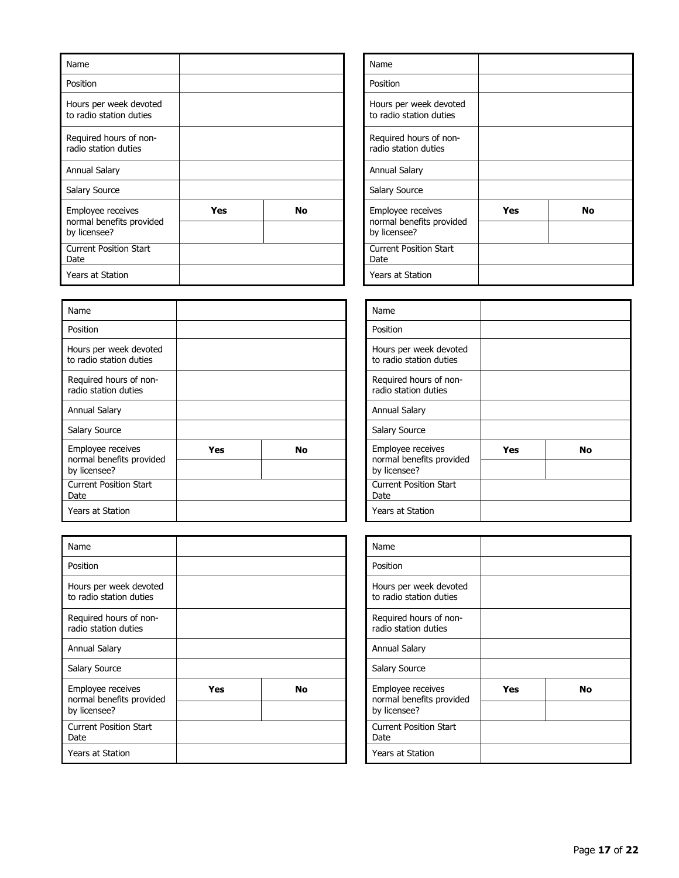| Name                                                          |           |  | Name                                                     |
|---------------------------------------------------------------|-----------|--|----------------------------------------------------------|
| Position                                                      |           |  | Position                                                 |
| Hours per week devoted<br>to radio station duties             |           |  | Hours per week de<br>to radio station dut                |
| Required hours of non-<br>radio station duties                |           |  | Required hours of r<br>radio station duties              |
| Annual Salary                                                 |           |  | Annual Salary                                            |
| Salary Source                                                 |           |  | Salary Source                                            |
| Employee receives<br>normal benefits provided<br>by licensee? | Yes<br>No |  | Employee receives<br>normal benefits pro<br>by licensee? |
| <b>Current Position Start</b><br>Date                         |           |  | <b>Current Position Sta</b><br>Date                      |
| Years at Station                                              |           |  | <b>Years at Station</b>                                  |

| Name                                                          |            |           | Name                                                     |  |
|---------------------------------------------------------------|------------|-----------|----------------------------------------------------------|--|
| Position                                                      |            |           | Position                                                 |  |
| Hours per week devoted<br>to radio station duties             |            |           | Hours per week de<br>to radio station dut                |  |
| Required hours of non-<br>radio station duties                |            |           | Required hours of r<br>radio station duties              |  |
| Annual Salary                                                 |            |           | Annual Salary                                            |  |
| Salary Source                                                 |            |           | Salary Source                                            |  |
| Employee receives<br>normal benefits provided<br>by licensee? | <b>Yes</b> | <b>No</b> | Employee receives<br>normal benefits pro<br>by licensee? |  |
| <b>Current Position Start</b><br>Date                         |            |           | <b>Current Position Sta</b><br>Date                      |  |
| <b>Years at Station</b>                                       |            |           | <b>Years at Station</b>                                  |  |

| Name                                                          |           |  |  | Name                                                     |
|---------------------------------------------------------------|-----------|--|--|----------------------------------------------------------|
| Position                                                      |           |  |  | Position                                                 |
| Hours per week devoted<br>to radio station duties             |           |  |  | Hours per week de<br>to radio station dut                |
| Required hours of non-<br>radio station duties                |           |  |  | Required hours of r<br>radio station duties              |
| Annual Salary                                                 |           |  |  | <b>Annual Salary</b>                                     |
| Salary Source                                                 |           |  |  | Salary Source                                            |
| Employee receives<br>normal benefits provided<br>by licensee? | No<br>Yes |  |  | Employee receives<br>normal benefits pro<br>by licensee? |
| Current Position Start<br>Date                                |           |  |  | <b>Current Position Sta</b><br>Date                      |
| Years at Station                                              |           |  |  | Years at Station                                         |

| Name                                                          |     |    |
|---------------------------------------------------------------|-----|----|
| Position                                                      |     |    |
| Hours per week devoted<br>to radio station duties             |     |    |
| Required hours of non-<br>radio station duties                |     |    |
| Annual Salary                                                 |     |    |
| <b>Salary Source</b>                                          |     |    |
| Employee receives<br>normal benefits provided<br>by licensee? | Yes | No |
| <b>Current Position Start</b><br>Date                         |     |    |
| <b>Years at Station</b>                                       |     |    |

| Name                                                          |     |    |
|---------------------------------------------------------------|-----|----|
| Position                                                      |     |    |
| Hours per week devoted<br>to radio station duties             |     |    |
| Required hours of non-<br>radio station duties                |     |    |
| Annual Salary                                                 |     |    |
| Salary Source                                                 |     |    |
| Employee receives<br>normal benefits provided<br>by licensee? | Yes | No |
| <b>Current Position Start</b><br>Date                         |     |    |
| Years at Station                                              |     |    |

| Name                                                          |     |    |
|---------------------------------------------------------------|-----|----|
| Position                                                      |     |    |
| Hours per week devoted<br>to radio station duties             |     |    |
| Required hours of non-<br>radio station duties                |     |    |
| Annual Salary                                                 |     |    |
| Salary Source                                                 |     |    |
| Employee receives<br>normal benefits provided<br>by licensee? | Yes | No |
| <b>Current Position Start</b><br>Date                         |     |    |
| Years at Station                                              |     |    |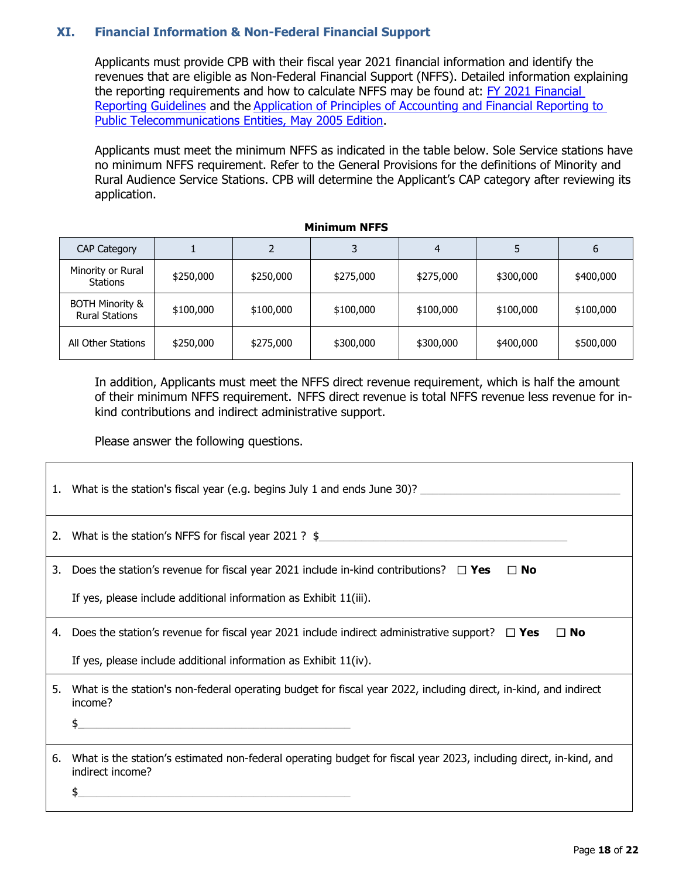## **XI. Financial Information & Non-Federal Financial Support**

Applicants must provide CPB with their fiscal year 2021 financial information and identify the revenues that are eligible as Non-Federal Financial Support (NFFS). Detailed information explaining the reporting requirements and how to calculate NFFS may be found at: FY 2021 Financial [Reporting Guidelines](https://www.cpb.org/stations/frg/) and the [Application of Principles of Accounting and Financial Reporting to](https://www.cpb.org/stations/principles/)  [Public Telecommunications Entities, May 2005 Edition.](https://www.cpb.org/stations/principles/)

Applicants must meet the minimum NFFS as indicated in the table below. Sole Service stations have no minimum NFFS requirement. Refer to the General Provisions for the definitions of Minority and Rural Audience Service Stations. CPB will determine the Applicant's CAP category after reviewing its application.

| <b>CAP Category</b>                                 |           |           | 3         |           |           | 6         |
|-----------------------------------------------------|-----------|-----------|-----------|-----------|-----------|-----------|
| Minority or Rural<br>Stations                       | \$250,000 | \$250,000 | \$275,000 | \$275,000 | \$300,000 | \$400,000 |
| <b>BOTH Minority &amp;</b><br><b>Rural Stations</b> | \$100,000 | \$100,000 | \$100,000 | \$100,000 | \$100,000 | \$100,000 |
| All Other Stations                                  | \$250,000 | \$275,000 | \$300,000 | \$300,000 | \$400,000 | \$500,000 |

#### **Minimum NFFS**

In addition, Applicants must meet the NFFS direct revenue requirement, which is half the amount of their minimum NFFS requirement. NFFS direct revenue is total NFFS revenue less revenue for inkind contributions and indirect administrative support.

Please answer the following questions.

|    | 1. What is the station's fiscal year (e.g. begins July 1 and ends June 30)?                                                                    |
|----|------------------------------------------------------------------------------------------------------------------------------------------------|
|    | 2. What is the station's NFFS for fiscal year 2021? \$                                                                                         |
| 3. | Does the station's revenue for fiscal year 2021 include in-kind contributions? $\square$ Yes<br>$\Box$ No                                      |
|    | If yes, please include additional information as Exhibit 11(iii).                                                                              |
| 4. | Does the station's revenue for fiscal year 2021 include indirect administrative support? $\square$ Yes<br>$\Box$ No                            |
|    | If yes, please include additional information as Exhibit 11(iv).                                                                               |
| 5. | What is the station's non-federal operating budget for fiscal year 2022, including direct, in-kind, and indirect<br>income?<br>\$              |
|    | 6. What is the station's estimated non-federal operating budget for fiscal year 2023, including direct, in-kind, and<br>indirect income?<br>\$ |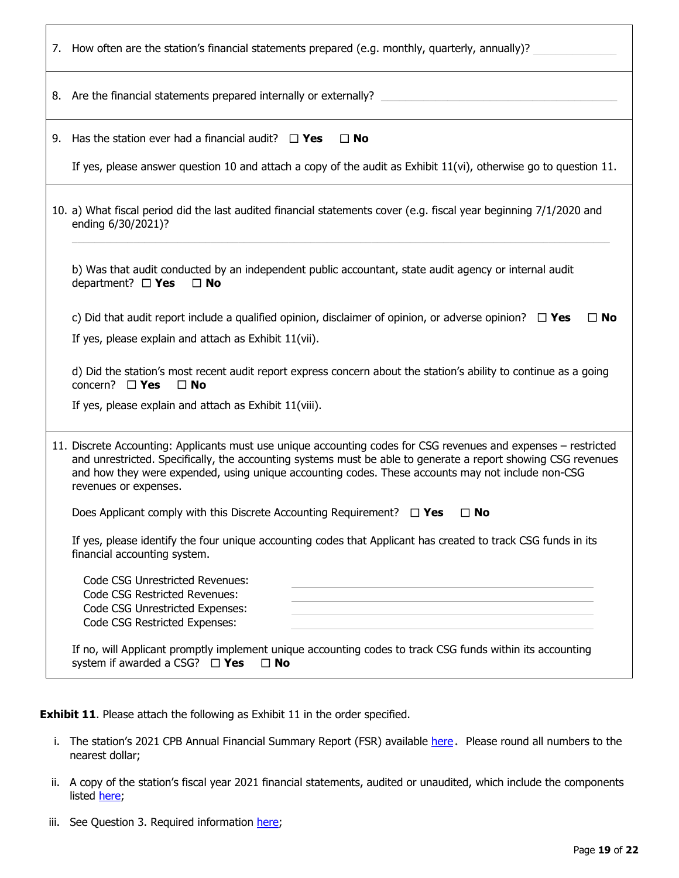|                                                                                                                                                                                                                                                                                                                                                                | 7. How often are the station's financial statements prepared (e.g. monthly, quarterly, annually)?                                                             |  |  |
|----------------------------------------------------------------------------------------------------------------------------------------------------------------------------------------------------------------------------------------------------------------------------------------------------------------------------------------------------------------|---------------------------------------------------------------------------------------------------------------------------------------------------------------|--|--|
|                                                                                                                                                                                                                                                                                                                                                                | 8. Are the financial statements prepared internally or externally?                                                                                            |  |  |
| 9.                                                                                                                                                                                                                                                                                                                                                             | Has the station ever had a financial audit? $\Box$ Yes<br>$\Box$ No                                                                                           |  |  |
|                                                                                                                                                                                                                                                                                                                                                                | If yes, please answer question 10 and attach a copy of the audit as Exhibit $11(vi)$ , otherwise go to question $11$ .                                        |  |  |
|                                                                                                                                                                                                                                                                                                                                                                | 10. a) What fiscal period did the last audited financial statements cover (e.g. fiscal year beginning 7/1/2020 and<br>ending 6/30/2021)?                      |  |  |
|                                                                                                                                                                                                                                                                                                                                                                | b) Was that audit conducted by an independent public accountant, state audit agency or internal audit<br>department? $\Box$ Yes<br>$\Box$ No                  |  |  |
|                                                                                                                                                                                                                                                                                                                                                                | c) Did that audit report include a qualified opinion, disclaimer of opinion, or adverse opinion? $\square$ Yes<br>$\Box$ No                                   |  |  |
|                                                                                                                                                                                                                                                                                                                                                                | If yes, please explain and attach as Exhibit 11(vii).                                                                                                         |  |  |
|                                                                                                                                                                                                                                                                                                                                                                | d) Did the station's most recent audit report express concern about the station's ability to continue as a going<br>concern? $\Box$ <b>Yes</b><br>$\Box$ No   |  |  |
|                                                                                                                                                                                                                                                                                                                                                                | If yes, please explain and attach as Exhibit 11(viii).                                                                                                        |  |  |
| 11. Discrete Accounting: Applicants must use unique accounting codes for CSG revenues and expenses – restricted<br>and unrestricted. Specifically, the accounting systems must be able to generate a report showing CSG revenues<br>and how they were expended, using unique accounting codes. These accounts may not include non-CSG<br>revenues or expenses. |                                                                                                                                                               |  |  |
|                                                                                                                                                                                                                                                                                                                                                                | Does Applicant comply with this Discrete Accounting Requirement? $\Box$ Yes<br>$\Box$ No                                                                      |  |  |
|                                                                                                                                                                                                                                                                                                                                                                | If yes, please identify the four unique accounting codes that Applicant has created to track CSG funds in its<br>financial accounting system.                 |  |  |
|                                                                                                                                                                                                                                                                                                                                                                | <b>Code CSG Unrestricted Revenues:</b><br><b>Code CSG Restricted Revenues:</b><br>Code CSG Unrestricted Expenses:<br>Code CSG Restricted Expenses:            |  |  |
|                                                                                                                                                                                                                                                                                                                                                                | If no, will Applicant promptly implement unique accounting codes to track CSG funds within its accounting<br>system if awarded a CSG? $\Box$ Yes<br>$\Box$ No |  |  |

**Exhibit 11**. Please attach the following as Exhibit 11 in the order specified.

- i. The station's 2021 CPB Annual Financial Summary Report (FSR) available [here](https://www.cpb.org/sites/default/files/rfp/RCSG2023/Exhibit-11i-Annual-Financial-Summary-Report-FSR.xlsx). Please round all numbers to the nearest dollar;
- ii. A copy of the station's fiscal year 2021 financial statements, audited or unaudited, which include the components listed [here;](https://www.cpb.org/sites/default/files/rfp/RCSG2023/Exhibit-11ii-Financial-Statement-Info.pdf)
- iii. See Question 3. Required information [here;](https://www.cpb.org/sites/default/files/rfp/RCSG2023/Exhibit-11iii-In-kind-Contributions.xlsx)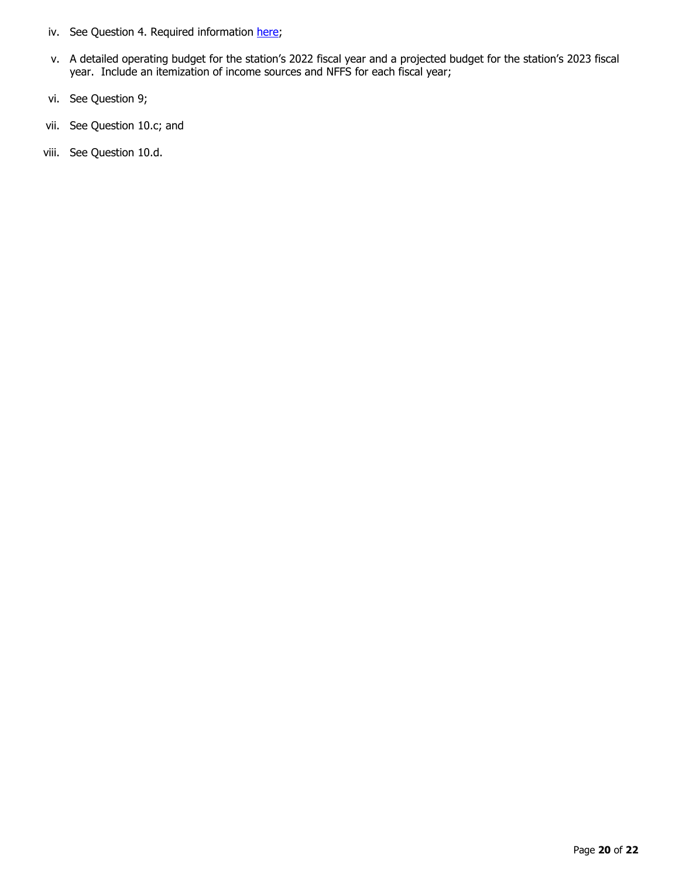- iv. See Question 4. Required information [here;](https://www.cpb.org/sites/default/files/rfp/RCSG2023/Exhibit-11iv-Indirect-Administrative-Support.xlsx)
- v. A detailed operating budget for the station's 2022 fiscal year and a projected budget for the station's 2023 fiscal year. Include an itemization of income sources and NFFS for each fiscal year;
- vi. See Question 9;
- vii. See Question 10.c; and
- viii. See Question 10.d.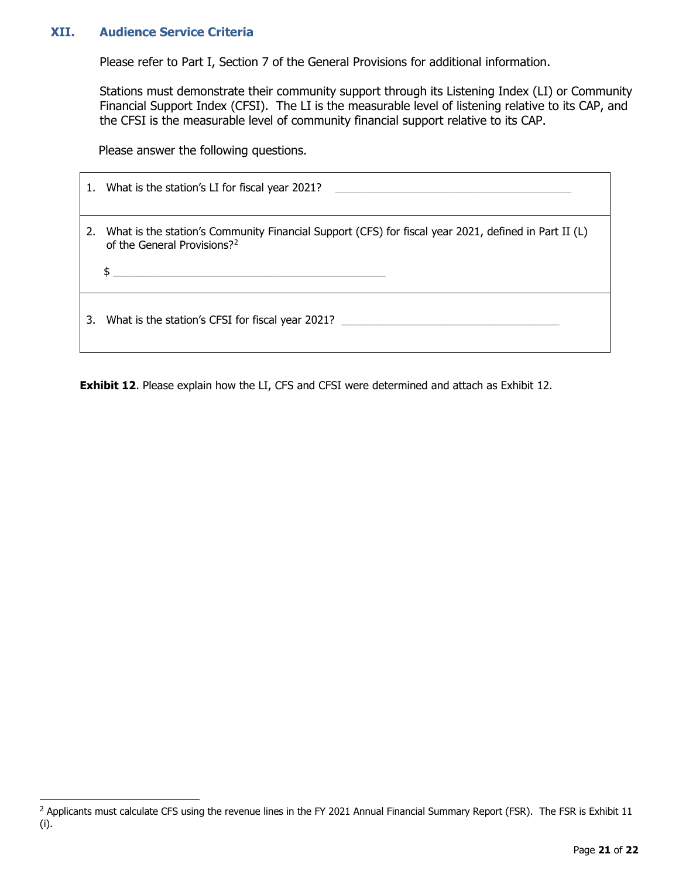## **XII. Audience Service Criteria**

Please refer to Part I, Section 7 of the General Provisions for additional information.

Stations must demonstrate their community support through its Listening Index (LI) or Community Financial Support Index (CFSI). The LI is the measurable level of listening relative to its CAP, and the CFSI is the measurable level of community financial support relative to its CAP.

Please answer the following questions.

| 1. | What is the station's LI for fiscal year 2021?                                                                                                     |
|----|----------------------------------------------------------------------------------------------------------------------------------------------------|
|    | 2. What is the station's Community Financial Support (CFS) for fiscal year 2021, defined in Part II (L)<br>of the General Provisions? <sup>2</sup> |
| 3. | What is the station's CFSI for fiscal year 2021?                                                                                                   |

**Exhibit 12.** Please explain how the LI, CFS and CFSI were determined and attach as Exhibit 12.

<span id="page-20-0"></span> $^2$  Applicants must calculate CFS using the revenue lines in the FY 2021 Annual Financial Summary Report (FSR). The FSR is Exhibit 11 (i).